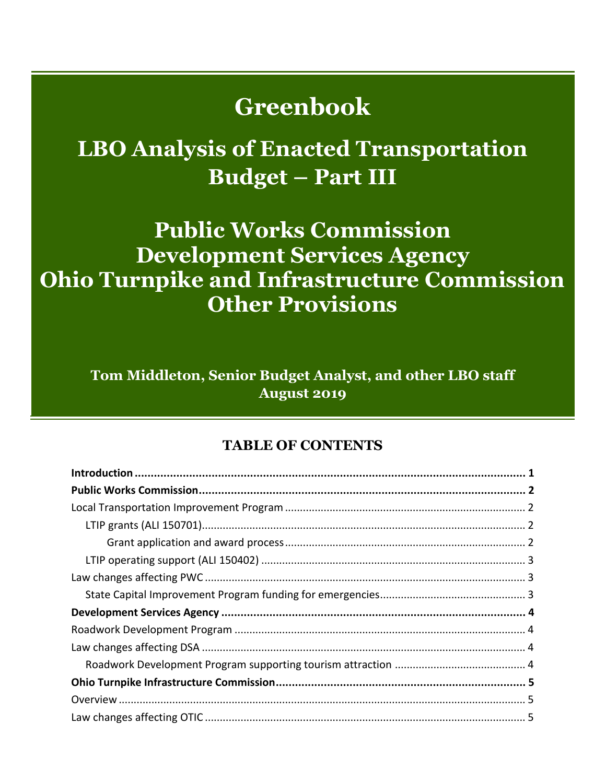# **Greenbook**

# **LBO Analysis of Enacted Transportation Budget – Part III**

# **Public Works Commission Development Services Agency Ohio Turnpike and Infrastructure Commission Other Provisions**

**Tom Middleton, Senior Budget Analyst, and other LBO staff August 2019** 

#### **TABLE OF CONTENTS**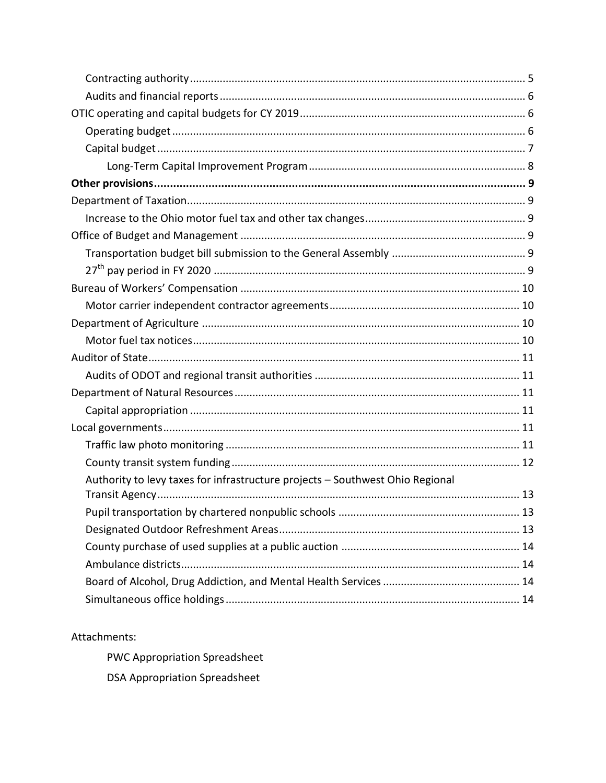| Authority to levy taxes for infrastructure projects - Southwest Ohio Regional |
|-------------------------------------------------------------------------------|
|                                                                               |
|                                                                               |
|                                                                               |
|                                                                               |
|                                                                               |
|                                                                               |
|                                                                               |

#### Attachments:

PWC Appropriation Spreadsheet **DSA Appropriation Spreadsheet**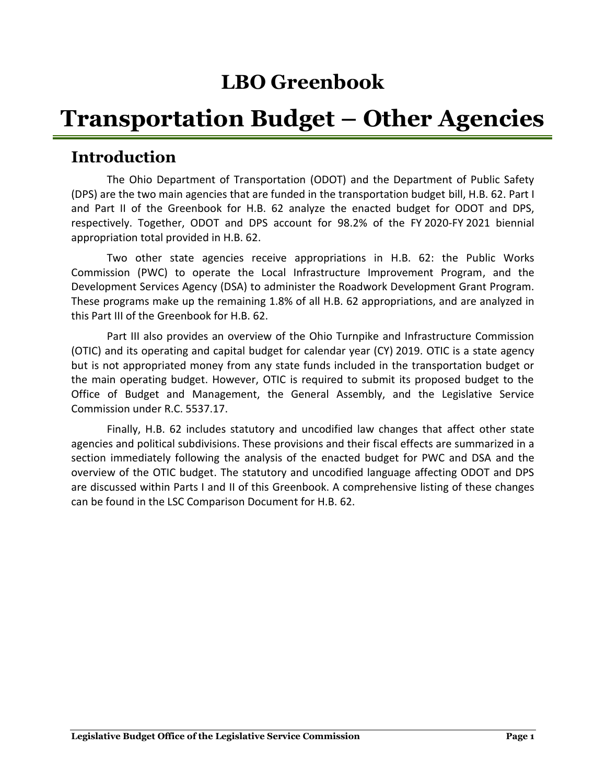## **LBO Greenbook**

# **Transportation Budget – Other Agencies**

## <span id="page-2-0"></span>**Introduction**

The Ohio Department of Transportation (ODOT) and the Department of Public Safety (DPS) are the two main agencies that are funded in the transportation budget bill, H.B. 62. Part I and Part II of the Greenbook for H.B. 62 analyze the enacted budget for ODOT and DPS, respectively. Together, ODOT and DPS account for 98.2% of the FY 2020-FY 2021 biennial appropriation total provided in H.B. 62.

Two other state agencies receive appropriations in H.B. 62: the Public Works Commission (PWC) to operate the Local Infrastructure Improvement Program, and the Development Services Agency (DSA) to administer the Roadwork Development Grant Program. These programs make up the remaining 1.8% of all H.B. 62 appropriations, and are analyzed in this Part III of the Greenbook for H.B. 62.

Part III also provides an overview of the Ohio Turnpike and Infrastructure Commission (OTIC) and its operating and capital budget for calendar year (CY) 2019. OTIC is a state agency but is not appropriated money from any state funds included in the transportation budget or the main operating budget. However, OTIC is required to submit its proposed budget to the Office of Budget and Management, the General Assembly, and the Legislative Service Commission under R.C. 5537.17.

Finally, H.B. 62 includes statutory and uncodified law changes that affect other state agencies and political subdivisions. These provisions and their fiscal effects are summarized in a section immediately following the analysis of the enacted budget for PWC and DSA and the overview of the OTIC budget. The statutory and uncodified language affecting ODOT and DPS are discussed within Parts I and II of this Greenbook. A comprehensive listing of these changes can be found in the LSC Comparison Document for H.B. 62.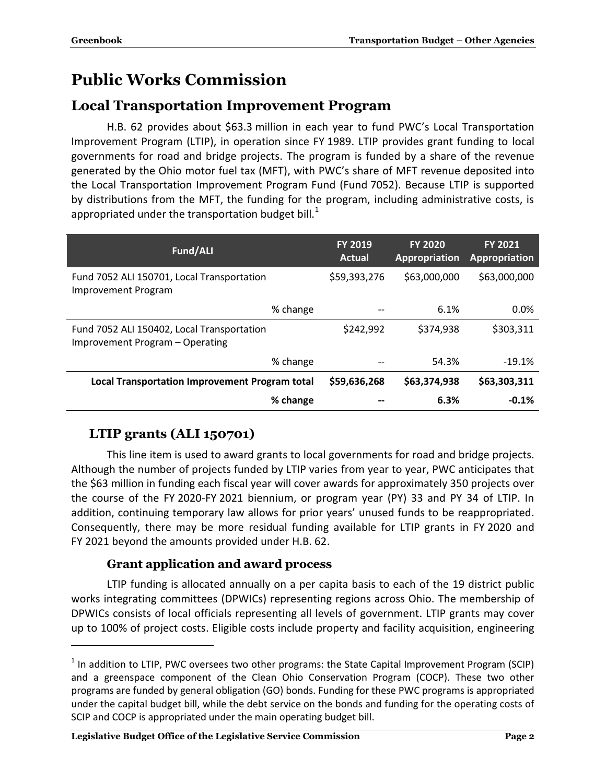## <span id="page-3-0"></span>**Public Works Commission**

#### <span id="page-3-1"></span>**Local Transportation Improvement Program**

H.B. 62 provides about \$63.3 million in each year to fund PWC's Local Transportation Improvement Program (LTIP), in operation since FY 1989. LTIP provides grant funding to local governments for road and bridge projects. The program is funded by a share of the revenue generated by the Ohio motor fuel tax (MFT), with PWC's share of MFT revenue deposited into the Local Transportation Improvement Program Fund (Fund 7052). Because LTIP is supported by distributions from the MFT, the funding for the program, including administrative costs, is appropriated under the transportation budget bill.<sup>1</sup>

| Fund/ALI                                                                      |          | <b>FY 2019</b><br>Actual | <b>FY 2020</b><br><b>Appropriation</b> | <b>FY 2021</b><br>Appropriation |
|-------------------------------------------------------------------------------|----------|--------------------------|----------------------------------------|---------------------------------|
| Fund 7052 ALI 150701, Local Transportation<br><b>Improvement Program</b>      |          | \$59,393,276             | \$63,000,000                           | \$63,000,000                    |
|                                                                               | % change |                          | 6.1%                                   | 0.0%                            |
| Fund 7052 ALI 150402, Local Transportation<br>Improvement Program - Operating |          | \$242,992                | \$374,938                              | \$303,311                       |
|                                                                               | % change |                          | 54.3%                                  | $-19.1%$                        |
| <b>Local Transportation Improvement Program total</b>                         |          | \$59,636,268             | \$63,374,938                           | \$63,303,311                    |
|                                                                               | % change |                          | 6.3%                                   | $-0.1%$                         |

## <span id="page-3-2"></span>**LTIP grants (ALI 150701)**

 $\overline{a}$ 

This line item is used to award grants to local governments for road and bridge projects. Although the number of projects funded by LTIP varies from year to year, PWC anticipates that the \$63 million in funding each fiscal year will cover awards for approximately 350 projects over the course of the FY 2020-FY 2021 biennium, or program year (PY) 33 and PY 34 of LTIP. In addition, continuing temporary law allows for prior years' unused funds to be reappropriated. Consequently, there may be more residual funding available for LTIP grants in FY 2020 and FY 2021 beyond the amounts provided under H.B. 62.

#### **Grant application and award process**

<span id="page-3-3"></span>LTIP funding is allocated annually on a per capita basis to each of the 19 district public works integrating committees (DPWICs) representing regions across Ohio. The membership of DPWICs consists of local officials representing all levels of government. LTIP grants may cover up to 100% of project costs. Eligible costs include property and facility acquisition, engineering

 $<sup>1</sup>$  In addition to LTIP, PWC oversees two other programs: the State Capital Improvement Program (SCIP)</sup> and a greenspace component of the Clean Ohio Conservation Program (COCP). These two other programs are funded by general obligation (GO) bonds. Funding for these PWC programs is appropriated under the capital budget bill, while the debt service on the bonds and funding for the operating costs of SCIP and COCP is appropriated under the main operating budget bill.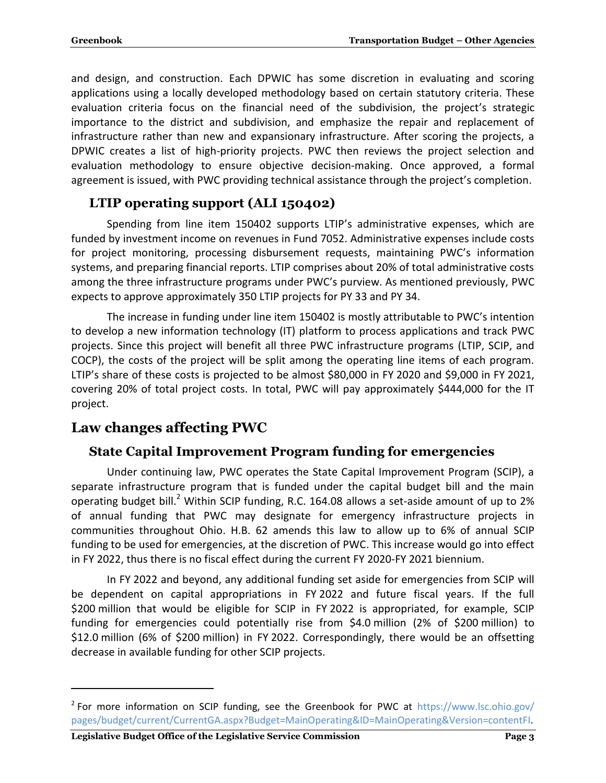and design, and construction. Each DPWIC has some discretion in evaluating and scoring applications using a locally developed methodology based on certain statutory criteria. These evaluation criteria focus on the financial need of the subdivision, the project's strategic importance to the district and subdivision, and emphasize the repair and replacement of infrastructure rather than new and expansionary infrastructure. After scoring the projects, a DPWIC creates a list of high-priority projects. PWC then reviews the project selection and evaluation methodology to ensure objective decision-making. Once approved, a formal agreement is issued, with PWC providing technical assistance through the project's completion.

## <span id="page-4-0"></span>**LTIP operating support (ALI 150402)**

Spending from line item 150402 supports LTIP's administrative expenses, which are funded by investment income on revenues in Fund 7052. Administrative expenses include costs for project monitoring, processing disbursement requests, maintaining PWC's information systems, and preparing financial reports. LTIP comprises about 20% of total administrative costs among the three infrastructure programs under PWC's purview. As mentioned previously, PWC expects to approve approximately 350 LTIP projects for PY 33 and PY 34.

The increase in funding under line item 150402 is mostly attributable to PWC's intention to develop a new information technology (IT) platform to process applications and track PWC projects. Since this project will benefit all three PWC infrastructure programs (LTIP, SCIP, and COCP), the costs of the project will be split among the operating line items of each program. LTIP's share of these costs is projected to be almost \$80,000 in FY 2020 and \$9,000 in FY 2021, covering 20% of total project costs. In total, PWC will pay approximately \$444,000 for the IT project.

## <span id="page-4-2"></span><span id="page-4-1"></span>**Law changes affecting PWC**

 $\overline{a}$ 

#### **State Capital Improvement Program funding for emergencies**

Under continuing law, PWC operates the State Capital Improvement Program (SCIP), a separate infrastructure program that is funded under the capital budget bill and the main operating budget bill.<sup>2</sup> Within SCIP funding, R.C. 164.08 allows a set-aside amount of up to 2% of annual funding that PWC may designate for emergency infrastructure projects in communities throughout Ohio. H.B. 62 amends this law to allow up to 6% of annual SCIP funding to be used for emergencies, at the discretion of PWC. This increase would go into effect in FY 2022, thus there is no fiscal effect during the current FY 2020-FY 2021 biennium.

In FY 2022 and beyond, any additional funding set aside for emergencies from SCIP will be dependent on capital appropriations in FY 2022 and future fiscal years. If the full \$200 million that would be eligible for SCIP in FY 2022 is appropriated, for example, SCIP funding for emergencies could potentially rise from \$4.0 million (2% of \$200 million) to \$12.0 million (6% of \$200 million) in FY 2022. Correspondingly, there would be an offsetting decrease in available funding for other SCIP projects.

<sup>&</sup>lt;sup>2</sup> For more information on SCIP funding, see the Greenbook for PWC at [https://www.lsc.ohio.gov/](https://www.lsc.ohio.gov/pages/budget/current/CurrentGA.aspx?Budget=MainOperating&ID=MainOperating&Version=contentFI) [pages/budget/current/CurrentGA.aspx?Budget=MainOperating&ID=MainOperating&Version=contentFI.](https://www.lsc.ohio.gov/pages/budget/current/CurrentGA.aspx?Budget=MainOperating&ID=MainOperating&Version=contentFI)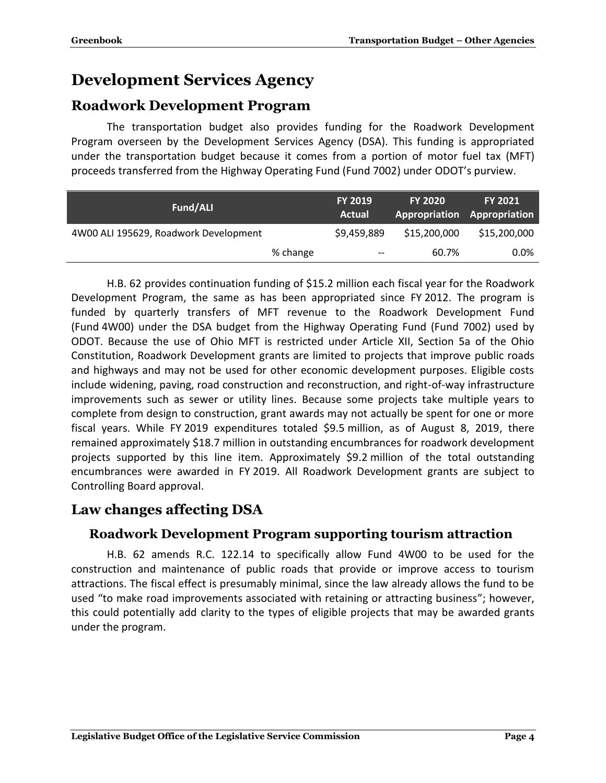## <span id="page-5-0"></span>**Development Services Agency**

## <span id="page-5-1"></span>**Roadwork Development Program**

The transportation budget also provides funding for the Roadwork Development Program overseen by the Development Services Agency (DSA). This funding is appropriated under the transportation budget because it comes from a portion of motor fuel tax (MFT) proceeds transferred from the Highway Operating Fund (Fund 7002) under ODOT's purview.

| Fund/ALI                              |          | <b>FY 2019</b><br><b>Actual</b>       | <b>FY 2020</b> | <b>FY 2021</b><br>Appropriation Appropriation |  |
|---------------------------------------|----------|---------------------------------------|----------------|-----------------------------------------------|--|
| 4W00 ALI 195629, Roadwork Development |          | \$9,459,889                           | \$15,200,000   | \$15,200,000                                  |  |
|                                       | % change | $\hspace{0.05cm}$ – $\hspace{0.05cm}$ | 60.7%          | $0.0\%$                                       |  |

H.B. 62 provides continuation funding of \$15.2 million each fiscal year for the Roadwork Development Program, the same as has been appropriated since FY 2012. The program is funded by quarterly transfers of MFT revenue to the Roadwork Development Fund (Fund 4W00) under the DSA budget from the Highway Operating Fund (Fund 7002) used by ODOT. Because the use of Ohio MFT is restricted under Article XII, Section 5a of the Ohio Constitution, Roadwork Development grants are limited to projects that improve public roads and highways and may not be used for other economic development purposes. Eligible costs include widening, paving, road construction and reconstruction, and right-of-way infrastructure improvements such as sewer or utility lines. Because some projects take multiple years to complete from design to construction, grant awards may not actually be spent for one or more fiscal years. While FY 2019 expenditures totaled \$9.5 million, as of August 8, 2019, there remained approximately \$18.7 million in outstanding encumbrances for roadwork development projects supported by this line item. Approximately \$9.2 million of the total outstanding encumbrances were awarded in FY 2019. All Roadwork Development grants are subject to Controlling Board approval.

## <span id="page-5-3"></span><span id="page-5-2"></span>**Law changes affecting DSA**

#### **Roadwork Development Program supporting tourism attraction**

H.B. 62 amends R.C. 122.14 to specifically allow Fund 4W00 to be used for the construction and maintenance of public roads that provide or improve access to tourism attractions. The fiscal effect is presumably minimal, since the law already allows the fund to be used "to make road improvements associated with retaining or attracting business"; however, this could potentially add clarity to the types of eligible projects that may be awarded grants under the program.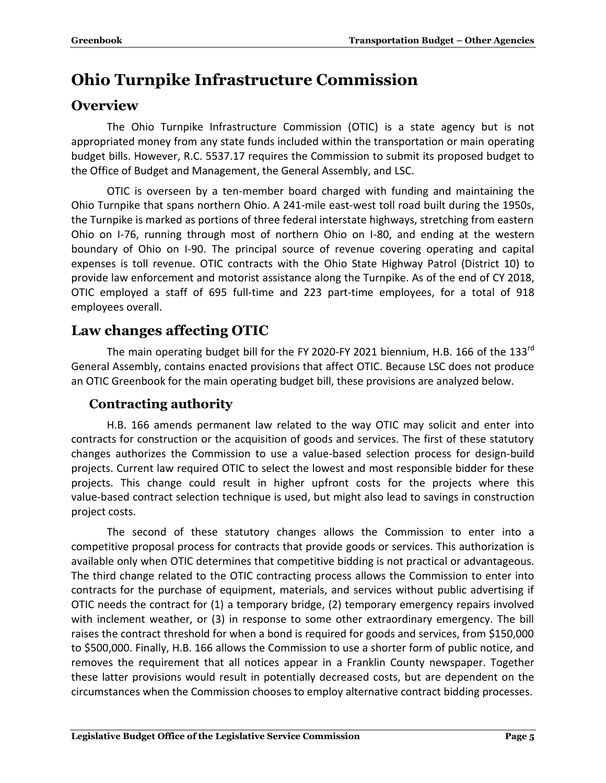## <span id="page-6-0"></span>**Ohio Turnpike Infrastructure Commission**

## <span id="page-6-1"></span>**Overview**

The Ohio Turnpike Infrastructure Commission (OTIC) is a state agency but is not appropriated money from any state funds included within the transportation or main operating budget bills. However, R.C. 5537.17 requires the Commission to submit its proposed budget to the Office of Budget and Management, the General Assembly, and LSC.

OTIC is overseen by a ten-member board charged with funding and maintaining the Ohio Turnpike that spans northern Ohio. A 241-mile east-west toll road built during the 1950s, the Turnpike is marked as portions of three federal interstate highways, stretching from eastern Ohio on I-76, running through most of northern Ohio on I-80, and ending at the western boundary of Ohio on I-90. The principal source of revenue covering operating and capital expenses is toll revenue. OTIC contracts with the Ohio State Highway Patrol (District 10) to provide law enforcement and motorist assistance along the Turnpike. As of the end of CY 2018, OTIC employed a staff of 695 full-time and 223 part-time employees, for a total of 918 employees overall.

## <span id="page-6-2"></span>**Law changes affecting OTIC**

The main operating budget bill for the FY 2020-FY 2021 biennium, H.B. 166 of the 133 $^{\text{rd}}$ General Assembly, contains enacted provisions that affect OTIC. Because LSC does not produce an OTIC Greenbook for the main operating budget bill, these provisions are analyzed below.

## <span id="page-6-3"></span>**Contracting authority**

H.B. 166 amends permanent law related to the way OTIC may solicit and enter into contracts for construction or the acquisition of goods and services. The first of these statutory changes authorizes the Commission to use a value-based selection process for design-build projects. Current law required OTIC to select the lowest and most responsible bidder for these projects. This change could result in higher upfront costs for the projects where this value-based contract selection technique is used, but might also lead to savings in construction project costs.

The second of these statutory changes allows the Commission to enter into a competitive proposal process for contracts that provide goods or services. This authorization is available only when OTIC determines that competitive bidding is not practical or advantageous. The third change related to the OTIC contracting process allows the Commission to enter into contracts for the purchase of equipment, materials, and services without public advertising if OTIC needs the contract for (1) a temporary bridge, (2) temporary emergency repairs involved with inclement weather, or (3) in response to some other extraordinary emergency. The bill raises the contract threshold for when a bond is required for goods and services, from \$150,000 to \$500,000. Finally, H.B. 166 allows the Commission to use a shorter form of public notice, and removes the requirement that all notices appear in a Franklin County newspaper. Together these latter provisions would result in potentially decreased costs, but are dependent on the circumstances when the Commission chooses to employ alternative contract bidding processes.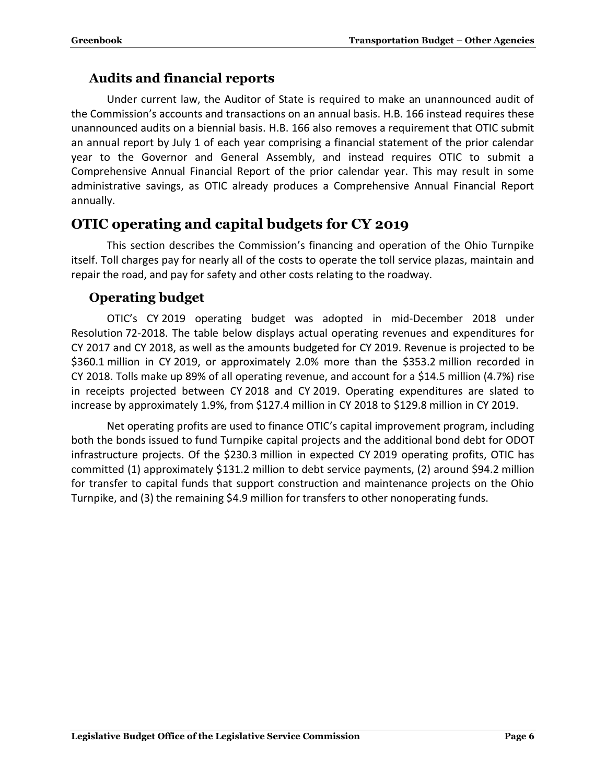#### <span id="page-7-0"></span>**Audits and financial reports**

Under current law, the Auditor of State is required to make an unannounced audit of the Commission's accounts and transactions on an annual basis. H.B. 166 instead requires these unannounced audits on a biennial basis. H.B. 166 also removes a requirement that OTIC submit an annual report by July 1 of each year comprising a financial statement of the prior calendar year to the Governor and General Assembly, and instead requires OTIC to submit a Comprehensive Annual Financial Report of the prior calendar year. This may result in some administrative savings, as OTIC already produces a Comprehensive Annual Financial Report annually.

#### <span id="page-7-1"></span>**OTIC operating and capital budgets for CY 2019**

This section describes the Commission's financing and operation of the Ohio Turnpike itself. Toll charges pay for nearly all of the costs to operate the toll service plazas, maintain and repair the road, and pay for safety and other costs relating to the roadway.

#### <span id="page-7-2"></span>**Operating budget**

OTIC's CY 2019 operating budget was adopted in mid-December 2018 under Resolution 72-2018. The table below displays actual operating revenues and expenditures for CY 2017 and CY 2018, as well as the amounts budgeted for CY 2019. Revenue is projected to be \$360.1 million in CY 2019, or approximately 2.0% more than the \$353.2 million recorded in CY 2018. Tolls make up 89% of all operating revenue, and account for a \$14.5 million (4.7%) rise in receipts projected between CY 2018 and CY 2019. Operating expenditures are slated to increase by approximately 1.9%, from \$127.4 million in CY 2018 to \$129.8 million in CY 2019.

Net operating profits are used to finance OTIC's capital improvement program, including both the bonds issued to fund Turnpike capital projects and the additional bond debt for ODOT infrastructure projects. Of the \$230.3 million in expected CY 2019 operating profits, OTIC has committed (1) approximately \$131.2 million to debt service payments, (2) around \$94.2 million for transfer to capital funds that support construction and maintenance projects on the Ohio Turnpike, and (3) the remaining \$4.9 million for transfers to other nonoperating funds.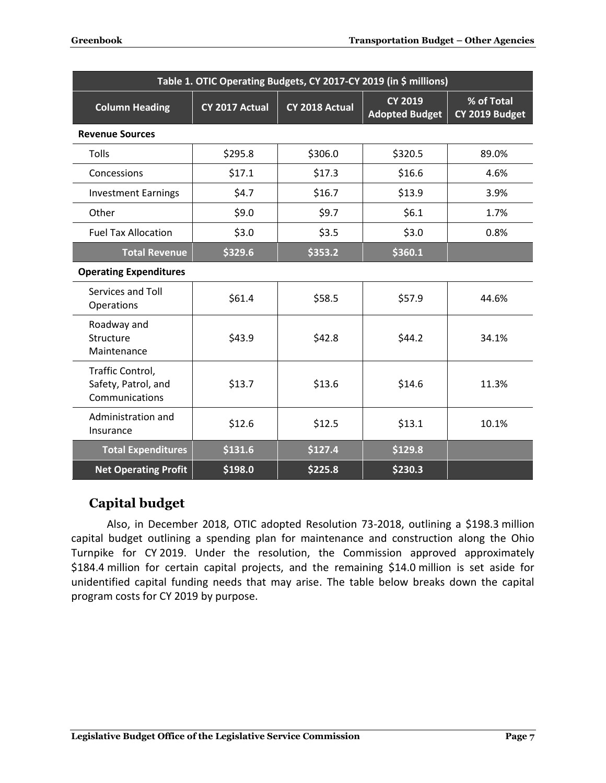| Table 1. OTIC Operating Budgets, CY 2017-CY 2019 (in \$ millions) |                                                                             |         |                              |       |  |  |  |
|-------------------------------------------------------------------|-----------------------------------------------------------------------------|---------|------------------------------|-------|--|--|--|
| <b>Column Heading</b>                                             | <b>CY 2019</b><br>CY 2017 Actual<br>CY 2018 Actual<br><b>Adopted Budget</b> |         | % of Total<br>CY 2019 Budget |       |  |  |  |
| <b>Revenue Sources</b>                                            |                                                                             |         |                              |       |  |  |  |
| Tolls                                                             | \$295.8                                                                     | \$306.0 | \$320.5                      | 89.0% |  |  |  |
| Concessions                                                       | \$17.1                                                                      | \$17.3  | \$16.6                       | 4.6%  |  |  |  |
| <b>Investment Earnings</b>                                        | \$4.7                                                                       | \$16.7  | \$13.9                       | 3.9%  |  |  |  |
| Other                                                             | \$9.0                                                                       | \$9.7   | \$6.1                        | 1.7%  |  |  |  |
| <b>Fuel Tax Allocation</b>                                        | \$3.0                                                                       | \$3.5   | \$3.0                        | 0.8%  |  |  |  |
| <b>Total Revenue</b>                                              | \$329.6                                                                     | \$353.2 | \$360.1                      |       |  |  |  |
| <b>Operating Expenditures</b>                                     |                                                                             |         |                              |       |  |  |  |
| Services and Toll<br>Operations                                   | \$61.4                                                                      | \$58.5  | \$57.9                       | 44.6% |  |  |  |
| Roadway and<br>Structure<br>Maintenance                           | \$43.9                                                                      | \$42.8  | \$44.2                       | 34.1% |  |  |  |
| Traffic Control,<br>Safety, Patrol, and<br>Communications         | \$13.7                                                                      | \$13.6  | \$14.6                       | 11.3% |  |  |  |
| Administration and<br>Insurance                                   | \$12.6                                                                      |         | \$13.1                       | 10.1% |  |  |  |
| <b>Total Expenditures</b>                                         | \$131.6                                                                     | \$127.4 | \$129.8                      |       |  |  |  |
| <b>Net Operating Profit</b>                                       | \$198.0                                                                     | \$225.8 | \$230.3                      |       |  |  |  |

#### <span id="page-8-0"></span>**Capital budget**

Also, in December 2018, OTIC adopted Resolution 73-2018, outlining a \$198.3 million capital budget outlining a spending plan for maintenance and construction along the Ohio Turnpike for CY 2019. Under the resolution, the Commission approved approximately \$184.4 million for certain capital projects, and the remaining \$14.0 million is set aside for unidentified capital funding needs that may arise. The table below breaks down the capital program costs for CY 2019 by purpose.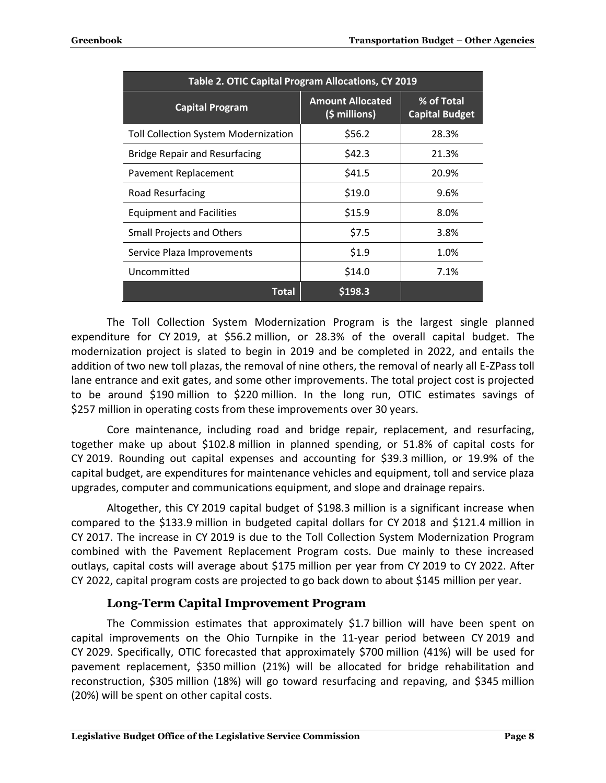| Table 2. OTIC Capital Program Allocations, CY 2019 |                                          |                                     |  |  |  |  |
|----------------------------------------------------|------------------------------------------|-------------------------------------|--|--|--|--|
| <b>Capital Program</b>                             | <b>Amount Allocated</b><br>(\$ millions) | % of Total<br><b>Capital Budget</b> |  |  |  |  |
| Toll Collection System Modernization               | \$56.2                                   | 28.3%                               |  |  |  |  |
| <b>Bridge Repair and Resurfacing</b>               | \$42.3                                   | 21.3%                               |  |  |  |  |
| Pavement Replacement                               | \$41.5                                   | 20.9%                               |  |  |  |  |
| Road Resurfacing                                   | \$19.0                                   | 9.6%                                |  |  |  |  |
| <b>Equipment and Facilities</b>                    | \$15.9                                   | 8.0%                                |  |  |  |  |
| <b>Small Projects and Others</b>                   | \$7.5                                    | 3.8%                                |  |  |  |  |
| Service Plaza Improvements                         | \$1.9                                    | 1.0%                                |  |  |  |  |
| Uncommitted                                        | \$14.0                                   | 7.1%                                |  |  |  |  |
| Total                                              | \$198.3                                  |                                     |  |  |  |  |

The Toll Collection System Modernization Program is the largest single planned expenditure for CY 2019, at \$56.2 million, or 28.3% of the overall capital budget. The modernization project is slated to begin in 2019 and be completed in 2022, and entails the addition of two new toll plazas, the removal of nine others, the removal of nearly all E-ZPass toll lane entrance and exit gates, and some other improvements. The total project cost is projected to be around \$190 million to \$220 million. In the long run, OTIC estimates savings of \$257 million in operating costs from these improvements over 30 years.

Core maintenance, including road and bridge repair, replacement, and resurfacing, together make up about \$102.8 million in planned spending, or 51.8% of capital costs for CY 2019. Rounding out capital expenses and accounting for \$39.3 million, or 19.9% of the capital budget, are expenditures for maintenance vehicles and equipment, toll and service plaza upgrades, computer and communications equipment, and slope and drainage repairs.

Altogether, this CY 2019 capital budget of \$198.3 million is a significant increase when compared to the \$133.9 million in budgeted capital dollars for CY 2018 and \$121.4 million in CY 2017. The increase in CY 2019 is due to the Toll Collection System Modernization Program combined with the Pavement Replacement Program costs. Due mainly to these increased outlays, capital costs will average about \$175 million per year from CY 2019 to CY 2022. After CY 2022, capital program costs are projected to go back down to about \$145 million per year.

#### **Long-Term Capital Improvement Program**

<span id="page-9-0"></span>The Commission estimates that approximately \$1.7 billion will have been spent on capital improvements on the Ohio Turnpike in the 11-year period between CY 2019 and CY 2029. Specifically, OTIC forecasted that approximately \$700 million (41%) will be used for pavement replacement, \$350 million (21%) will be allocated for bridge rehabilitation and reconstruction, \$305 million (18%) will go toward resurfacing and repaving, and \$345 million (20%) will be spent on other capital costs.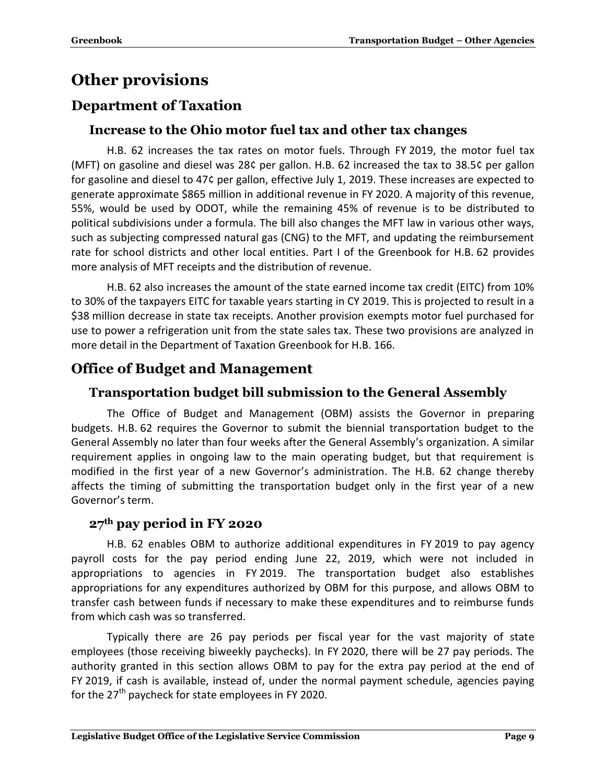## <span id="page-10-0"></span>**Other provisions**

## <span id="page-10-2"></span><span id="page-10-1"></span>**Department of Taxation**

#### **Increase to the Ohio motor fuel tax and other tax changes**

H.B. 62 increases the tax rates on motor fuels. Through FY 2019, the motor fuel tax (MFT) on gasoline and diesel was 28¢ per gallon. H.B. 62 increased the tax to 38.5¢ per gallon for gasoline and diesel to 47¢ per gallon, effective July 1, 2019. These increases are expected to generate approximate \$865 million in additional revenue in FY 2020. A majority of this revenue, 55%, would be used by ODOT, while the remaining 45% of revenue is to be distributed to political subdivisions under a formula. The bill also changes the MFT law in various other ways, such as subjecting compressed natural gas (CNG) to the MFT, and updating the reimbursement rate for school districts and other local entities. Part I of the Greenbook for H.B. 62 provides more analysis of MFT receipts and the distribution of revenue.

H.B. 62 also increases the amount of the state earned income tax credit (EITC) from 10% to 30% of the taxpayers EITC for taxable years starting in CY 2019. This is projected to result in a \$38 million decrease in state tax receipts. Another provision exempts motor fuel purchased for use to power a refrigeration unit from the state sales tax. These two provisions are analyzed in more detail in the Department of Taxation Greenbook for H.B. 166.

## <span id="page-10-4"></span><span id="page-10-3"></span>**Office of Budget and Management**

#### **Transportation budget bill submission to the General Assembly**

The Office of Budget and Management (OBM) assists the Governor in preparing budgets. H.B. 62 requires the Governor to submit the biennial transportation budget to the General Assembly no later than four weeks after the General Assembly's organization. A similar requirement applies in ongoing law to the main operating budget, but that requirement is modified in the first year of a new Governor's administration. The H.B. 62 change thereby affects the timing of submitting the transportation budget only in the first year of a new Governor's term.

#### <span id="page-10-5"></span>**27th pay period in FY 2020**

H.B. 62 enables OBM to authorize additional expenditures in FY 2019 to pay agency payroll costs for the pay period ending June 22, 2019, which were not included in appropriations to agencies in FY 2019. The transportation budget also establishes appropriations for any expenditures authorized by OBM for this purpose, and allows OBM to transfer cash between funds if necessary to make these expenditures and to reimburse funds from which cash was so transferred.

Typically there are 26 pay periods per fiscal year for the vast majority of state employees (those receiving biweekly paychecks). In FY 2020, there will be 27 pay periods. The authority granted in this section allows OBM to pay for the extra pay period at the end of FY 2019, if cash is available, instead of, under the normal payment schedule, agencies paying for the  $27<sup>th</sup>$  paycheck for state employees in FY 2020.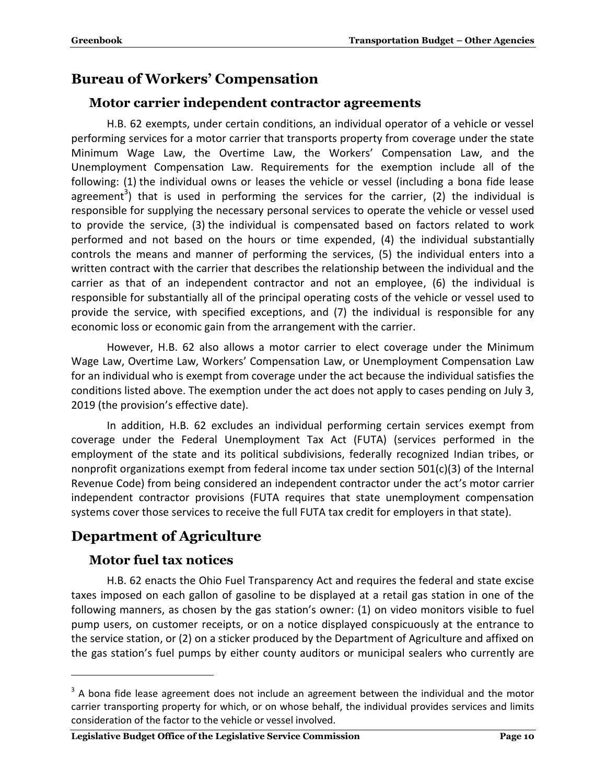## <span id="page-11-1"></span><span id="page-11-0"></span>**Bureau of Workers' Compensation**

#### **Motor carrier independent contractor agreements**

H.B. 62 exempts, under certain conditions, an individual operator of a vehicle or vessel performing services for a motor carrier that transports property from coverage under the state Minimum Wage Law, the Overtime Law, the Workers' Compensation Law, and the Unemployment Compensation Law. Requirements for the exemption include all of the following: (1) the individual owns or leases the vehicle or vessel (including a bona fide lease agreement<sup>3</sup>) that is used in performing the services for the carrier, (2) the individual is responsible for supplying the necessary personal services to operate the vehicle or vessel used to provide the service, (3) the individual is compensated based on factors related to work performed and not based on the hours or time expended, (4) the individual substantially controls the means and manner of performing the services, (5) the individual enters into a written contract with the carrier that describes the relationship between the individual and the carrier as that of an independent contractor and not an employee, (6) the individual is responsible for substantially all of the principal operating costs of the vehicle or vessel used to provide the service, with specified exceptions, and (7) the individual is responsible for any economic loss or economic gain from the arrangement with the carrier.

However, H.B. 62 also allows a motor carrier to elect coverage under the Minimum Wage Law, Overtime Law, Workers' Compensation Law, or Unemployment Compensation Law for an individual who is exempt from coverage under the act because the individual satisfies the conditions listed above. The exemption under the act does not apply to cases pending on July 3, 2019 (the provision's effective date).

In addition, H.B. 62 excludes an individual performing certain services exempt from coverage under the Federal Unemployment Tax Act (FUTA) (services performed in the employment of the state and its political subdivisions, federally recognized Indian tribes, or nonprofit organizations exempt from federal income tax under section 501(c)(3) of the Internal Revenue Code) from being considered an independent contractor under the act's motor carrier independent contractor provisions (FUTA requires that state unemployment compensation systems cover those services to receive the full FUTA tax credit for employers in that state).

## <span id="page-11-3"></span><span id="page-11-2"></span>**Department of Agriculture**

#### **Motor fuel tax notices**

 $\overline{a}$ 

H.B. 62 enacts the Ohio Fuel Transparency Act and requires the federal and state excise taxes imposed on each gallon of gasoline to be displayed at a retail gas station in one of the following manners, as chosen by the gas station's owner: (1) on video monitors visible to fuel pump users, on customer receipts, or on a notice displayed conspicuously at the entrance to the service station, or (2) on a sticker produced by the Department of Agriculture and affixed on the gas station's fuel pumps by either county auditors or municipal sealers who currently are

 $3$  A bona fide lease agreement does not include an agreement between the individual and the motor carrier transporting property for which, or on whose behalf, the individual provides services and limits consideration of the factor to the vehicle or vessel involved.

**Legislative Budget Office of the Legislative Service Commission Page 10**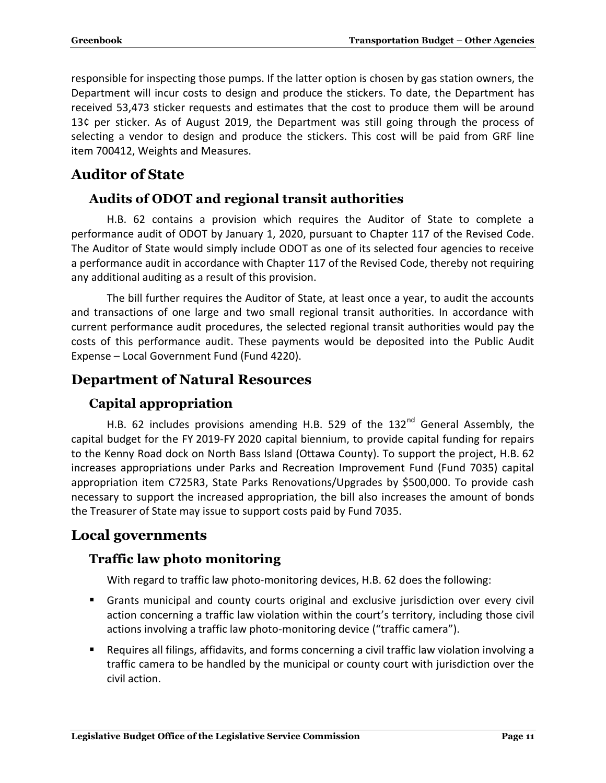responsible for inspecting those pumps. If the latter option is chosen by gas station owners, the Department will incur costs to design and produce the stickers. To date, the Department has received 53,473 sticker requests and estimates that the cost to produce them will be around 13¢ per sticker. As of August 2019, the Department was still going through the process of selecting a vendor to design and produce the stickers. This cost will be paid from GRF line item 700412, Weights and Measures.

## <span id="page-12-1"></span><span id="page-12-0"></span>**Auditor of State**

#### **Audits of ODOT and regional transit authorities**

H.B. 62 contains a provision which requires the Auditor of State to complete a performance audit of ODOT by January 1, 2020, pursuant to Chapter 117 of the Revised Code. The Auditor of State would simply include ODOT as one of its selected four agencies to receive a performance audit in accordance with Chapter 117 of the Revised Code, thereby not requiring any additional auditing as a result of this provision.

The bill further requires the Auditor of State, at least once a year, to audit the accounts and transactions of one large and two small regional transit authorities. In accordance with current performance audit procedures, the selected regional transit authorities would pay the costs of this performance audit. These payments would be deposited into the Public Audit Expense – Local Government Fund (Fund 4220).

## <span id="page-12-3"></span><span id="page-12-2"></span>**Department of Natural Resources**

## **Capital appropriation**

H.B. 62 includes provisions amending H.B. 529 of the 132<sup>nd</sup> General Assembly, the capital budget for the FY 2019-FY 2020 capital biennium, to provide capital funding for repairs to the Kenny Road dock on North Bass Island (Ottawa County). To support the project, H.B. 62 increases appropriations under Parks and Recreation Improvement Fund (Fund 7035) capital appropriation item C725R3, State Parks Renovations/Upgrades by \$500,000. To provide cash necessary to support the increased appropriation, the bill also increases the amount of bonds the Treasurer of State may issue to support costs paid by Fund 7035.

## <span id="page-12-5"></span><span id="page-12-4"></span>**Local governments**

## **Traffic law photo monitoring**

With regard to traffic law photo-monitoring devices, H.B. 62 does the following:

- Grants municipal and county courts original and exclusive jurisdiction over every civil action concerning a traffic law violation within the court's territory, including those civil actions involving a traffic law photo-monitoring device ("traffic camera").
- Requires all filings, affidavits, and forms concerning a civil traffic law violation involving a traffic camera to be handled by the municipal or county court with jurisdiction over the civil action.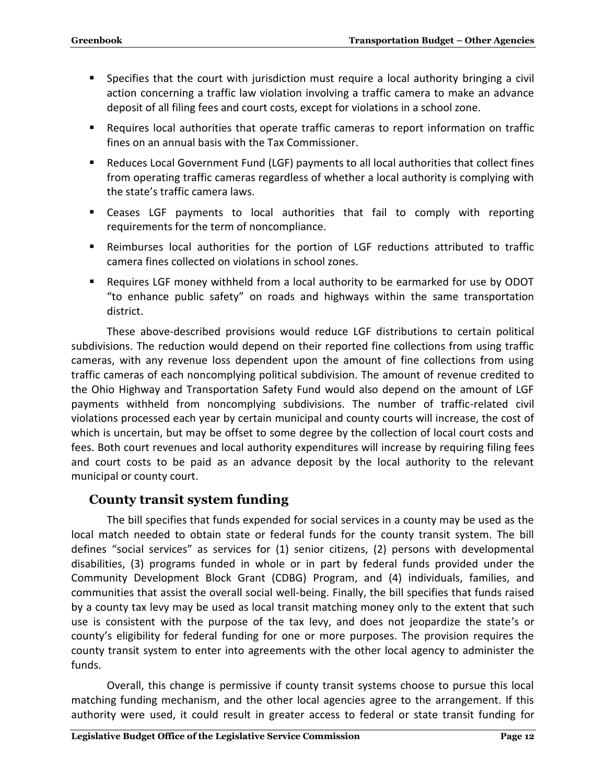- Specifies that the court with jurisdiction must require a local authority bringing a civil action concerning a traffic law violation involving a traffic camera to make an advance deposit of all filing fees and court costs, except for violations in a school zone.
- Requires local authorities that operate traffic cameras to report information on traffic fines on an annual basis with the Tax Commissioner.
- Reduces Local Government Fund (LGF) payments to all local authorities that collect fines from operating traffic cameras regardless of whether a local authority is complying with the state's traffic camera laws.
- Ceases LGF payments to local authorities that fail to comply with reporting requirements for the term of noncompliance.
- Reimburses local authorities for the portion of LGF reductions attributed to traffic camera fines collected on violations in school zones.
- Requires LGF money withheld from a local authority to be earmarked for use by ODOT "to enhance public safety" on roads and highways within the same transportation district.

These above-described provisions would reduce LGF distributions to certain political subdivisions. The reduction would depend on their reported fine collections from using traffic cameras, with any revenue loss dependent upon the amount of fine collections from using traffic cameras of each noncomplying political subdivision. The amount of revenue credited to the Ohio Highway and Transportation Safety Fund would also depend on the amount of LGF payments withheld from noncomplying subdivisions. The number of traffic-related civil violations processed each year by certain municipal and county courts will increase, the cost of which is uncertain, but may be offset to some degree by the collection of local court costs and fees. Both court revenues and local authority expenditures will increase by requiring filing fees and court costs to be paid as an advance deposit by the local authority to the relevant municipal or county court.

#### <span id="page-13-0"></span>**County transit system funding**

The bill specifies that funds expended for social services in a county may be used as the local match needed to obtain state or federal funds for the county transit system. The bill defines "social services" as services for (1) senior citizens, (2) persons with developmental disabilities, (3) programs funded in whole or in part by federal funds provided under the Community Development Block Grant (CDBG) Program, and (4) individuals, families, and communities that assist the overall social well-being. Finally, the bill specifies that funds raised by a county tax levy may be used as local transit matching money only to the extent that such use is consistent with the purpose of the tax levy, and does not jeopardize the state's or county's eligibility for federal funding for one or more purposes. The provision requires the county transit system to enter into agreements with the other local agency to administer the funds.

Overall, this change is permissive if county transit systems choose to pursue this local matching funding mechanism, and the other local agencies agree to the arrangement. If this authority were used, it could result in greater access to federal or state transit funding for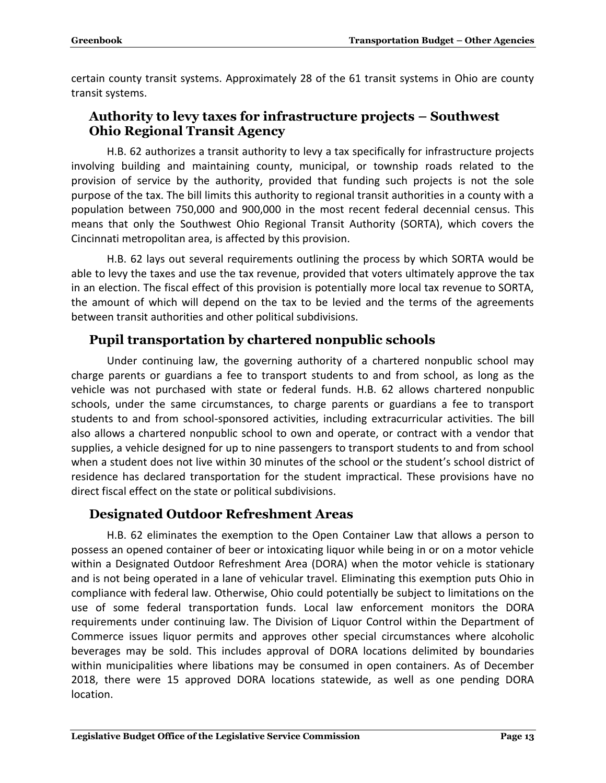certain county transit systems. Approximately 28 of the 61 transit systems in Ohio are county transit systems.

#### <span id="page-14-0"></span>**Authority to levy taxes for infrastructure projects – Southwest Ohio Regional Transit Agency**

H.B. 62 authorizes a transit authority to levy a tax specifically for infrastructure projects involving building and maintaining county, municipal, or township roads related to the provision of service by the authority, provided that funding such projects is not the sole purpose of the tax. The bill limits this authority to regional transit authorities in a county with a population between 750,000 and 900,000 in the most recent federal decennial census. This means that only the Southwest Ohio Regional Transit Authority (SORTA), which covers the Cincinnati metropolitan area, is affected by this provision.

H.B. 62 lays out several requirements outlining the process by which SORTA would be able to levy the taxes and use the tax revenue, provided that voters ultimately approve the tax in an election. The fiscal effect of this provision is potentially more local tax revenue to SORTA, the amount of which will depend on the tax to be levied and the terms of the agreements between transit authorities and other political subdivisions.

#### <span id="page-14-1"></span>**Pupil transportation by chartered nonpublic schools**

Under continuing law, the governing authority of a chartered nonpublic school may charge parents or guardians a fee to transport students to and from school, as long as the vehicle was not purchased with state or federal funds. H.B. 62 allows chartered nonpublic schools, under the same circumstances, to charge parents or guardians a fee to transport students to and from school-sponsored activities, including extracurricular activities. The bill also allows a chartered nonpublic school to own and operate, or contract with a vendor that supplies, a vehicle designed for up to nine passengers to transport students to and from school when a student does not live within 30 minutes of the school or the student's school district of residence has declared transportation for the student impractical. These provisions have no direct fiscal effect on the state or political subdivisions.

#### <span id="page-14-2"></span>**Designated Outdoor Refreshment Areas**

H.B. 62 eliminates the exemption to the Open Container Law that allows a person to possess an opened container of beer or intoxicating liquor while being in or on a motor vehicle within a Designated Outdoor Refreshment Area (DORA) when the motor vehicle is stationary and is not being operated in a lane of vehicular travel. Eliminating this exemption puts Ohio in compliance with federal law. Otherwise, Ohio could potentially be subject to limitations on the use of some federal transportation funds. Local law enforcement monitors the DORA requirements under continuing law. The Division of Liquor Control within the Department of Commerce issues liquor permits and approves other special circumstances where alcoholic beverages may be sold. This includes approval of DORA locations delimited by boundaries within municipalities where libations may be consumed in open containers. As of December 2018, there were 15 approved DORA locations statewide, as well as one pending DORA location.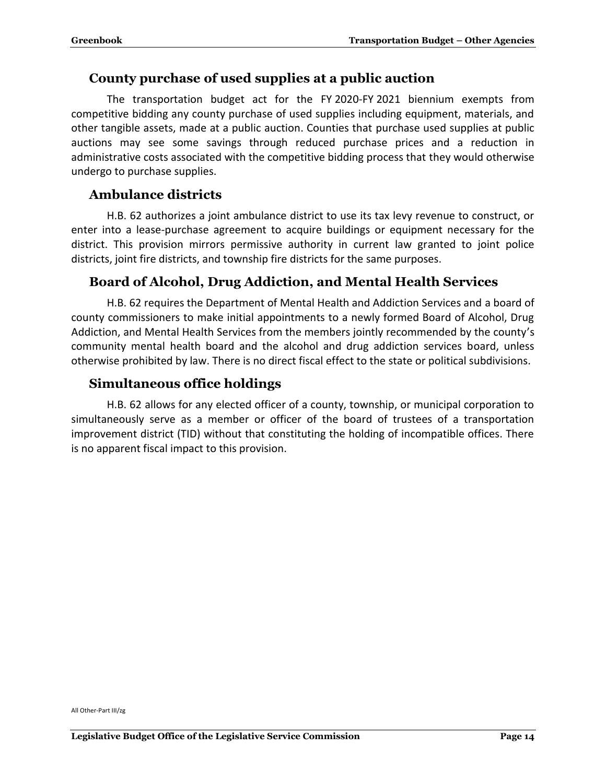#### <span id="page-15-0"></span>**County purchase of used supplies at a public auction**

The transportation budget act for the FY 2020-FY 2021 biennium exempts from competitive bidding any county purchase of used supplies including equipment, materials, and other tangible assets, made at a public auction. Counties that purchase used supplies at public auctions may see some savings through reduced purchase prices and a reduction in administrative costs associated with the competitive bidding process that they would otherwise undergo to purchase supplies.

#### <span id="page-15-1"></span>**Ambulance districts**

H.B. 62 authorizes a joint ambulance district to use its tax levy revenue to construct, or enter into a lease-purchase agreement to acquire buildings or equipment necessary for the district. This provision mirrors permissive authority in current law granted to joint police districts, joint fire districts, and township fire districts for the same purposes.

#### <span id="page-15-2"></span>**Board of Alcohol, Drug Addiction, and Mental Health Services**

H.B. 62 requires the Department of Mental Health and Addiction Services and a board of county commissioners to make initial appointments to a newly formed Board of Alcohol, Drug Addiction, and Mental Health Services from the members jointly recommended by the county's community mental health board and the alcohol and drug addiction services board, unless otherwise prohibited by law. There is no direct fiscal effect to the state or political subdivisions.

#### <span id="page-15-3"></span>**Simultaneous office holdings**

H.B. 62 allows for any elected officer of a county, township, or municipal corporation to simultaneously serve as a member or officer of the board of trustees of a transportation improvement district (TID) without that constituting the holding of incompatible offices. There is no apparent fiscal impact to this provision.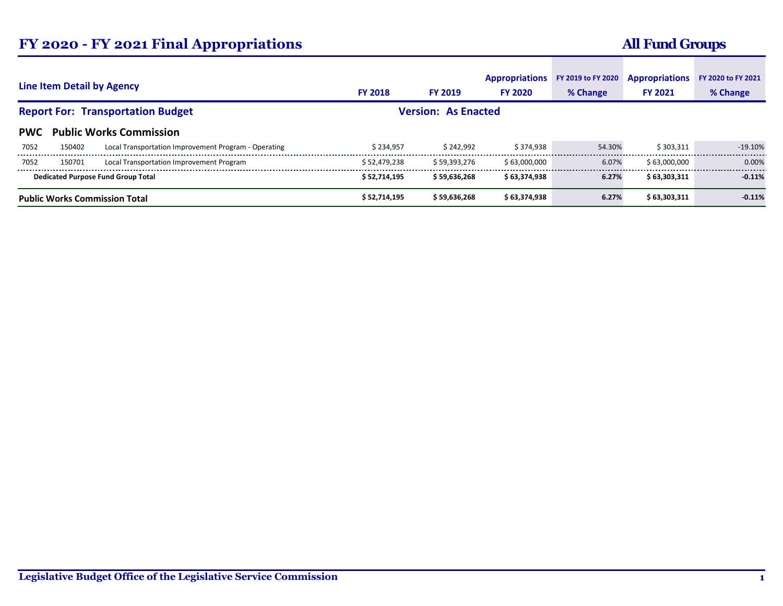## **FY 2020 - FY 2021 Final Appropriations**

## **All Fund Groups**

| <b>Line Item Detail by Agency</b>        |        | <b>FY 2018</b>                                       | <b>FY 2019</b> | <b>Appropriations</b><br><b>FY 2020</b> | FY 2019 to FY 2020<br>% Change | <b>Appropriations</b><br><b>FY 2021</b> | FY 2020 to FY 2021<br>% Change |           |
|------------------------------------------|--------|------------------------------------------------------|----------------|-----------------------------------------|--------------------------------|-----------------------------------------|--------------------------------|-----------|
| <b>Report For: Transportation Budget</b> |        |                                                      |                | <b>Version: As Enacted</b>              |                                |                                         |                                |           |
| <b>PWC</b>                               |        | <b>Public Works Commission</b>                       |                |                                         |                                |                                         |                                |           |
| 7052                                     | 150402 | Local Transportation Improvement Program - Operating | \$234,957      | \$242.992                               | \$374.938                      | 54.30%                                  | \$303.311                      | $-19.10%$ |
| 7052                                     | 150701 | Local Transportation Improvement Program             | \$52,479,238   | \$59.393.276                            | \$63,000,000                   | 6.07%                                   | \$63,000,000                   | 0.00%     |
|                                          |        | <b>Dedicated Purpose Fund Group Total</b>            | \$52,714,195   | \$59.636.268                            | \$63,374,938                   | 6.27%                                   | \$63.303.311                   | $-0.11%$  |
| <b>Public Works Commission Total</b>     |        | \$52,714,195                                         | \$59,636,268   | \$63,374,938                            | 6.27%                          | \$63,303,311                            | $-0.11%$                       |           |